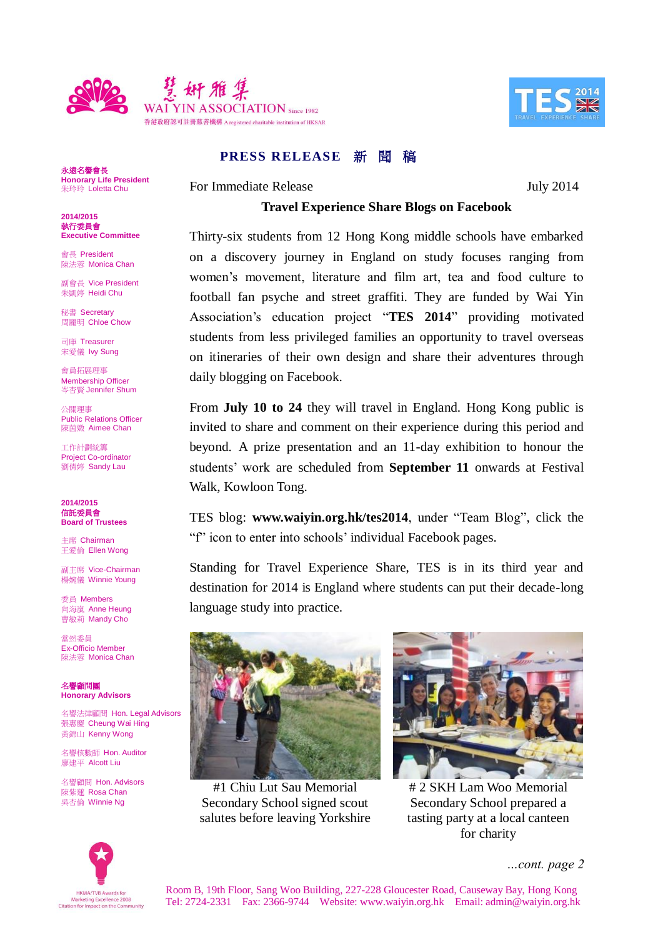



**PRESS RELEASE 新聞 稿** 

For Immediate Release July 2014

## **Travel Experience Share Blogs on Facebook**

Thirty-six students from 12 Hong Kong middle schools have embarked on a discovery journey in England on study focuses ranging from women's movement, literature and film art, tea and food culture to football fan psyche and street graffiti. They are funded by Wai Yin Association's education project "**TES 2014**" providing motivated students from less privileged families an opportunity to travel overseas on itineraries of their own design and share their adventures through daily blogging on Facebook.

From **July 10 to 24** they will travel in England. Hong Kong public is invited to share and comment on their experience during this period and beyond. A prize presentation and an 11-day exhibition to honour the students' work are scheduled from **September 11** onwards at Festival Walk, Kowloon Tong.

TES blog: **www.waiyin.org.hk/tes2014**, under "Team Blog", click the "f" icon to enter into schools' individual Facebook pages.

Standing for Travel Experience Share, TES is in its third year and destination for 2014 is England where students can put their decade-long language study into practice.



#1 Chiu Lut Sau Memorial Secondary School signed scout salutes before leaving Yorkshire



# 2 SKH Lam Woo Memorial Secondary School prepared a tasting party at a local canteen for charity



*…cont. page 2*

永遠名譽會長 **Honorary Life President** 朱玲玲 Loletta Chu

**2014/2015** 執行委員會 **Executive Committee**

會長 President 陳法蓉 Monica Chan

副會長 Vice President 朱凱婷 Heidi Chu

秘書 Secretary 周麗明 Chloe Chow

司庫 Treasurer 宋愛儀 Ivy Sung

會員拓展理事 Membership Officer 岑杏賢 Jennifer Shum

公關理事 Public Relations Officer 陳茵媺 Aimee Chan

工作計劃統籌 Project Co-ordinator 劉倩婷 Sandy Lau

**2014/2015** 信託委員會 **Board of Trustees**

主席 Chairman 王愛倫 Ellen Wong

副主席 Vice-Chairman 楊婉儀 Winnie Young

委員 Members 向海嵐 Anne Heung **曹敏莉 Mandy Cho** 

當然委員 Ex-Officio Member 陳法蓉 Monica Chan

名譽顧問團 **Honorary Advisors**

名譽法律顧問 Hon. Legal Advisors 張惠慶 Cheung Wai Hing 黃錦山 Kenny Wong

名譽核數師 Hon. Auditor 廖建平 Alcott Liu

名譽顧問 Hon. Advisors 陳紫蓮 Rosa Chan 吳杏倫 Winnie Ng